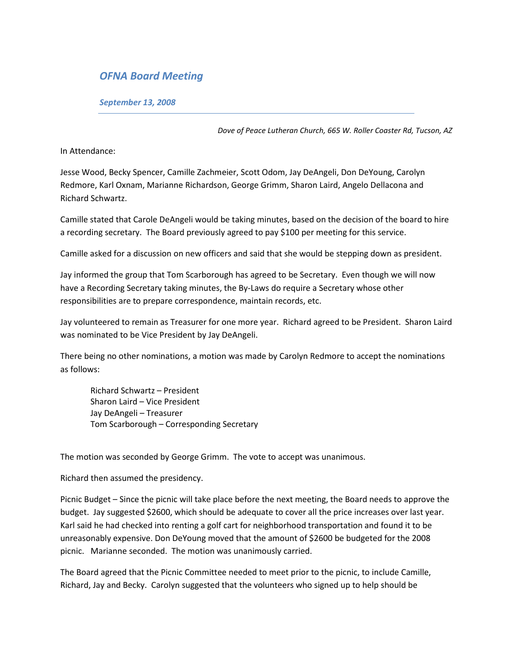## *OFNA Board Meeting*

*September 13, 2008* 

*Dove of Peace Lutheran Church, 665 W. Roller Coaster Rd, Tucson, AZ* 

In Attendance:

Jesse Wood, Becky Spencer, Camille Zachmeier, Scott Odom, Jay DeAngeli, Don DeYoung, Carolyn Redmore, Karl Oxnam, Marianne Richardson, George Grimm, Sharon Laird, Angelo Dellacona and Richard Schwartz.

Camille stated that Carole DeAngeli would be taking minutes, based on the decision of the board to hire a recording secretary. The Board previously agreed to pay \$100 per meeting for this service.

Camille asked for a discussion on new officers and said that she would be stepping down as president.

Jay informed the group that Tom Scarborough has agreed to be Secretary. Even though we will now have a Recording Secretary taking minutes, the By-Laws do require a Secretary whose other responsibilities are to prepare correspondence, maintain records, etc.

Jay volunteered to remain as Treasurer for one more year. Richard agreed to be President. Sharon Laird was nominated to be Vice President by Jay DeAngeli.

There being no other nominations, a motion was made by Carolyn Redmore to accept the nominations as follows:

Richard Schwartz – President Sharon Laird – Vice President Jay DeAngeli – Treasurer Tom Scarborough – Corresponding Secretary

The motion was seconded by George Grimm. The vote to accept was unanimous.

Richard then assumed the presidency.

Picnic Budget – Since the picnic will take place before the next meeting, the Board needs to approve the budget. Jay suggested \$2600, which should be adequate to cover all the price increases over last year. Karl said he had checked into renting a golf cart for neighborhood transportation and found it to be unreasonably expensive. Don DeYoung moved that the amount of \$2600 be budgeted for the 2008 picnic. Marianne seconded. The motion was unanimously carried.

The Board agreed that the Picnic Committee needed to meet prior to the picnic, to include Camille, Richard, Jay and Becky. Carolyn suggested that the volunteers who signed up to help should be